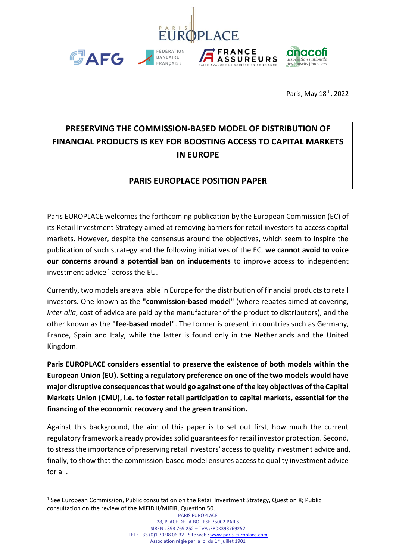

Paris, May 18<sup>th</sup>, 2022

# **PRESERVING THE COMMISSION-BASED MODEL OF DISTRIBUTION OF FINANCIAL PRODUCTS IS KEY FOR BOOSTING ACCESS TO CAPITAL MARKETS IN EUROPE**

## **PARIS EUROPLACE POSITION PAPER**

Paris EUROPLACE welcomes the forthcoming publication by the European Commission (EC) of its Retail Investment Strategy aimed at removing barriers for retail investors to access capital markets. However, despite the consensus around the objectives, which seem to inspire the publication of such strategy and the following initiatives of the EC, **we cannot avoid to voice our concerns around a potential ban on inducements** to improve access to independent investment advice  $1$  across the EU.

Currently, two models are available in Europe for the distribution of financial products to retail investors. One known as the **"commission-based model**" (where rebates aimed at covering, *inter alia*, cost of advice are paid by the manufacturer of the product to distributors), and the other known as the **"fee-based model"**. The former is present in countries such as Germany, France, Spain and Italy, while the latter is found only in the Netherlands and the United Kingdom.

**Paris EUROPLACE considers essential to preserve the existence of both models within the European Union (EU). Setting a regulatory preference on one of the two models would have major disruptive consequences that would go against one of the key objectives of the Capital Markets Union (CMU), i.e. to foster retail participation to capital markets, essential for the financing of the economic recovery and the green transition.**

Against this background, the aim of this paper is to set out first, how much the current regulatory framework already provides solid guarantees for retail investor protection. Second, to stress the importance of preserving retail investors' access to quality investment advice and, finally, to show that the commission-based model ensures access to quality investment advice for all.

<sup>&</sup>lt;sup>1</sup> See European Commission, Public consultation on the Retail Investment Strategy, Question 8; Public consultation on the review of the MiFID II/MiFIR, Question 50.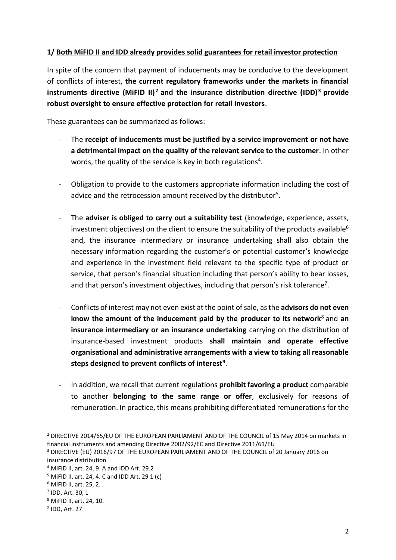#### **1/ Both MiFID II and IDD already provides solid guarantees for retail investor protection**

In spite of the concern that payment of inducements may be conducive to the development of conflicts of interest, **the current regulatory frameworks under the markets in financial instruments directive (MiFID II) <sup>2</sup> and the insurance distribution directive (IDD) <sup>3</sup> provide robust oversight to ensure effective protection for retail investors**.

These guarantees can be summarized as follows:

- The **receipt of inducements must be justified by a service improvement or not have a detrimental impact on the quality of the relevant service to the customer**. In other words, the quality of the service is key in both regulations<sup>4</sup>.
- Obligation to provide to the customers appropriate information including the cost of advice and the retrocession amount received by the distributor<sup>5</sup>.
- The **adviser is obliged to carry out a suitability test** (knowledge, experience, assets, investment objectives) on the client to ensure the suitability of the products available<sup>6</sup> and, the insurance intermediary or insurance undertaking shall also obtain the necessary information regarding the customer's or potential customer's knowledge and experience in the investment field relevant to the specific type of product or service, that person's financial situation including that person's ability to bear losses, and that person's investment objectives, including that person's risk tolerance<sup>7</sup>.
- Conflicts of interest may not even exist at the point of sale, as the **advisors do not even know the amount of the inducement paid by the producer to its network**<sup>8</sup> and **an insurance intermediary or an insurance undertaking** carrying on the distribution of insurance-based investment products **shall maintain and operate effective organisational and administrative arrangements with a view to taking all reasonable steps designed to prevent conflicts of interest<sup>9</sup>** .
- In addition, we recall that current regulations **prohibit favoring a product** comparable to another **belonging to the same range or offer**, exclusively for reasons of remuneration. In practice, this means prohibiting differentiated remunerations for the

<sup>&</sup>lt;sup>2</sup> DIRECTIVE 2014/65/EU OF THE EUROPEAN PARLIAMENT AND OF THE COUNCIL of 15 May 2014 on markets in financial instruments and amending Directive 2002/92/EC and Directive 2011/61/EU

<sup>3</sup> DIRECTIVE (EU) 2016/97 OF THE EUROPEAN PARLIAMENT AND OF THE COUNCIL of 20 January 2016 on insurance distribution

<sup>4</sup> MiFID II, art. 24, 9. A and IDD Art. 29.2

<sup>5</sup> MiFID II, art. 24, 4. C and IDD Art. 29 1 (c)

<sup>6</sup> MiFID II, art. 25, 2.

<sup>7</sup> IDD, Art. 30, 1

<sup>8</sup> MiFID II, art. 24, 10.

<sup>&</sup>lt;sup>9</sup> IDD, Art. 27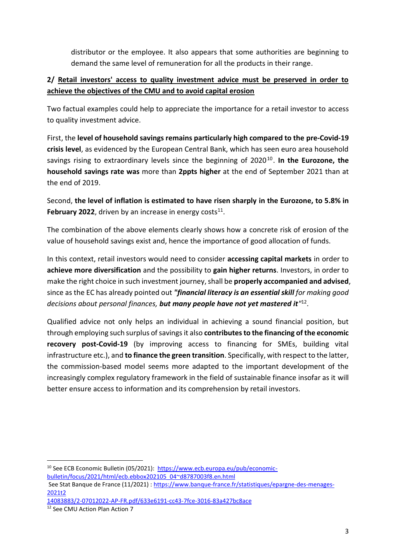distributor or the employee. It also appears that some authorities are beginning to demand the same level of remuneration for all the products in their range.

## **2/ Retail investors' access to quality investment advice must be preserved in order to achieve the objectives of the CMU and to avoid capital erosion**

Two factual examples could help to appreciate the importance for a retail investor to access to quality investment advice.

First, the **level of household savings remains particularly high compared to the pre-Covid-19 crisis level**, as evidenced by the European Central Bank, which has seen euro area household savings rising to extraordinary levels since the beginning of 2020<sup>10</sup>. In the Eurozone, the **household savings rate was** more than **2ppts higher** at the end of September 2021 than at the end of 2019.

Second, **the level of inflation is estimated to have risen sharply in the Eurozone, to 5.8% in**  February 2022, driven by an increase in energy costs $11$ .

The combination of the above elements clearly shows how a concrete risk of erosion of the value of household savings exist and, hence the importance of good allocation of funds.

In this context, retail investors would need to consider **accessing capital markets** in order to **achieve more diversification** and the possibility to **gain higher returns**. Investors, in order to make the right choice in such investment journey, shall be **properly accompanied and advised**, since as the EC has already pointed out *"financial literacy is an essential skill for making good decisions about personal finances, but many people have not yet mastered it"* 12 .

Qualified advice not only helps an individual in achieving a sound financial position, but through employing such surplus of savingsit also **contributes to the financing of the economic recovery post-Covid-19** (by improving access to financing for SMEs, building vital infrastructure etc.), and **to finance the green transition**. Specifically, with respect to the latter, the commission-based model seems more adapted to the important development of the increasingly complex regulatory framework in the field of sustainable finance insofar as it will better ensure access to information and its comprehension by retail investors.

<sup>10</sup> See ECB Economic Bulletin (05/2021): [https://www.ecb.europa.eu/pub/economic](https://www.ecb.europa.eu/pub/economic-bulletin/focus/2021/html/ecb.ebbox202105_04~d8787003f8.en.html)[bulletin/focus/2021/html/ecb.ebbox202105\\_04~d8787003f8.en.html](https://www.ecb.europa.eu/pub/economic-bulletin/focus/2021/html/ecb.ebbox202105_04~d8787003f8.en.html)

See Stat Banque de France (11/2021) : [https://www.banque-france.fr/statistiques/epargne-des-menages-](https://www.banque-france.fr/statistiques/epargne-des-menages-2021t2)[2021t2](https://www.banque-france.fr/statistiques/epargne-des-menages-2021t2)

<sup>14083883/2-07012022-</sup>AP-FR.pdf/633e6191-cc43-7fce-3016-83a427bc8ace

<sup>12</sup> See CMU Action Plan Action 7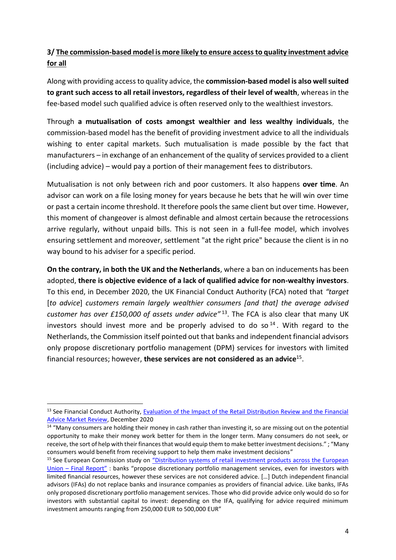### **3/ The commission-based model is more likely to ensure access to quality investment advice for all**

Along with providing access to quality advice, the **commission-based model is also well suited to grant such access to all retail investors, regardless of their level of wealth**, whereas in the fee-based model such qualified advice is often reserved only to the wealthiest investors.

Through **a mutualisation of costs amongst wealthier and less wealthy individuals**, the commission-based model has the benefit of providing investment advice to all the individuals wishing to enter capital markets. Such mutualisation is made possible by the fact that manufacturers – in exchange of an enhancement of the quality of services provided to a client (including advice) – would pay a portion of their management fees to distributors.

Mutualisation is not only between rich and poor customers. It also happens **over time**. An advisor can work on a file losing money for years because he bets that he will win over time or past a certain income threshold. It therefore pools the same client but over time. However, this moment of changeover is almost definable and almost certain because the retrocessions arrive regularly, without unpaid bills. This is not seen in a full-fee model, which involves ensuring settlement and moreover, settlement "at the right price" because the client is in no way bound to his adviser for a specific period.

**On the contrary, in both the UK and the Netherlands**, where a ban on inducements has been adopted, **there is objective evidence of a lack of qualified advice for non-wealthy investors**. To this end, in December 2020, the UK Financial Conduct Authority (FCA) noted that *"target*  [*to advice*] *customers remain largely wealthier consumers [and that] the average advised customer has over £150,000 of assets under advice"* <sup>13</sup>. The FCA is also clear that many UK investors should invest more and be properly advised to do so  $14$ . With regard to the Netherlands, the Commission itself pointed out that banks and independent financial advisors only propose discretionary portfolio management (DPM) services for investors with limited financial resources; however, **these services are not considered as an advice**<sup>15</sup> .

<sup>&</sup>lt;sup>13</sup> See Financial Conduct Authority, Evaluation of the Impact of the Retail Distribution Review and the Financial [Advice Market Review,](https://www.fca.org.uk/publication/corporate/evaluation-of-the-impact-of-the-rdr-and-famr.pdf) December 2020

 $14$  "Many consumers are holding their money in cash rather than investing it, so are missing out on the potential opportunity to make their money work better for them in the longer term. Many consumers do not seek, or receive, the sort of help with their finances that would equip them to make better investment decisions." ; "Many consumers would benefit from receiving support to help them make investment decisions"

<sup>&</sup>lt;sup>15</sup> See European Commission study on "Distribution systems of retail investment products across the European Union – [Final Report"](https://ec.europa.eu/info/sites/default/files/180425-retail-investment-products-distribution-systems_en.pdf) : banks "propose discretionary portfolio management services, even for investors with limited financial resources, however these services are not considered advice. […] Dutch independent financial advisors (IFAs) do not replace banks and insurance companies as providers of financial advice. Like banks, IFAs only proposed discretionary portfolio management services. Those who did provide advice only would do so for investors with substantial capital to invest: depending on the IFA, qualifying for advice required minimum investment amounts ranging from 250,000 EUR to 500,000 EUR"